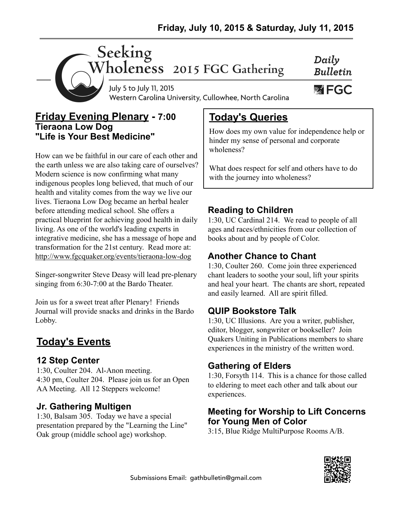

July 5 to July 11, 2015 Western Carolina University, Cullowhee, North Carolina

#### **Friday Evening Plenary - 7:00 Tieraona Low Dog "Life is Your Best Medicine"**

How can we be faithful in our care of each other and the earth unless we are also taking care of ourselves? Modern science is now confirming what many indigenous peoples long believed, that much of our health and vitality comes from the way we live our lives. Tieraona Low Dog became an herbal healer before attending medical school. She offers a practical blueprint for achieving good health in daily living. As one of the world's leading experts in integrative medicine, she has a message of hope and transformation for the 21st century. Read more at: <http://www.fgcquaker.org/events/tieraona-low-dog>

Singer-songwriter Steve Deasy will lead pre-plenary singing from 6:30-7:00 at the Bardo Theater.

Join us for a sweet treat after Plenary! Friends Journal will provide snacks and drinks in the Bardo Lobby.

## **Today's Events**

#### **12 Step Center**

1:30, Coulter 204. Al-Anon meeting. 4:30 pm, Coulter 204. Please join us for an Open AA Meeting. All 12 Steppers welcome!

#### **Jr. Gathering Multigen**

1:30, Balsam 305. Today we have a special presentation prepared by the "Learning the Line" Oak group (middle school age) workshop.

## **Today's Queries**

How does my own value for independence help or hinder my sense of personal and corporate wholeness?

Daily

**Bulletin** 

**必 FGC** 

What does respect for self and others have to do with the journey into wholeness?

#### **Reading to Children**

1:30, UC Cardinal 214. We read to people of all ages and races/ethnicities from our collection of books about and by people of Color.

#### **Another Chance to Chant**

1:30, Coulter 260. Come join three experienced chant leaders to soothe your soul, lift your spirits and heal your heart. The chants are short, repeated and easily learned. All are spirit filled.

#### **QUIP Bookstore Talk**

1:30, UC Illusions. Are you a writer, publisher, editor, blogger, songwriter or bookseller? Join Quakers Uniting in Publications members to share experiences in the ministry of the written word.

#### **Gathering of Elders**

1:30, Forsyth 114. This is a chance for those called to eldering to meet each other and talk about our experiences.

#### **Meeting for Worship to Lift Concerns for Young Men of Color**

3:15, Blue Ridge MultiPurpose Rooms A/B.

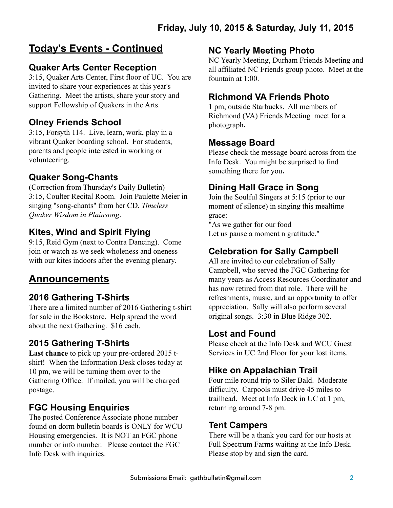## **Today's Events - Continued**

#### **Quaker Arts Center Reception**

3:15, Quaker Arts Center, First floor of UC. You are invited to share your experiences at this year's Gathering. Meet the artists, share your story and support Fellowship of Quakers in the Arts.

#### **Olney Friends School**

3:15, Forsyth 114. Live, learn, work, play in a vibrant Quaker boarding school. For students, parents and people interested in working or volunteering.

#### **Quaker Song-Chants**

(Correction from Thursday's Daily Bulletin) 3:15, Coulter Recital Room. Join Paulette Meier in singing "song-chants" from her CD, *Timeless Quaker Wisdom in Plainsong*.

#### **Kites, Wind and Spirit Flying**

9:15, Reid Gym (next to Contra Dancing). Come join or watch as we seek wholeness and oneness with our kites indoors after the evening plenary.

### **Announcements**

#### **2016 Gathering T-Shirts**

There are a limited number of 2016 Gathering t-shirt for sale in the Bookstore. Help spread the word about the next Gathering. \$16 each.

#### **2015 Gathering T-Shirts**

**Last chance** to pick up your pre-ordered 2015 tshirt! When the Information Desk closes today at 10 pm, we will be turning them over to the Gathering Office. If mailed, you will be charged postage.

#### **FGC Housing Enquiries**

The posted Conference Associate phone number found on dorm bulletin boards is ONLY for WCU Housing emergencies. It is NOT an FGC phone number or info number. Please contact the FGC Info Desk with inquiries.

#### **NC Yearly Meeting Photo**

NC Yearly Meeting, Durham Friends Meeting and all affiliated NC Friends group photo. Meet at the fountain at 1:00.

#### **Richmond VA Friends Photo**

1 pm, outside Starbucks. All members of Richmond (VA) Friends Meeting meet for a photograph**.** 

#### **Message Board**

Please check the message board across from the Info Desk. You might be surprised to find something there for you**.** 

#### **Dining Hall Grace in Song**

Join the Soulful Singers at 5:15 (prior to our moment of silence) in singing this mealtime grace:

"As we gather for our food Let us pause a moment n gratitude."

#### **Celebration for Sally Campbell**

All are invited to our celebration of Sally Campbell, who served the FGC Gathering for many years as Access Resources Coordinator and has now retired from that role. There will be refreshments, music, and an opportunity to offer appreciation. Sally will also perform several original songs. 3:30 in Blue Ridge 302.

#### **Lost and Found**

Please check at the Info Desk and WCU Guest Services in UC 2nd Floor for your lost items.

#### **Hike on Appalachian Trail**

Four mile round trip to Siler Bald. Moderate difficulty. Carpools must drive 45 miles to trailhead. Meet at Info Deck in UC at 1 pm, returning around 7-8 pm.

#### **Tent Campers**

There will be a thank you card for our hosts at Full Spectrum Farms waiting at the Info Desk. Please stop by and sign the card.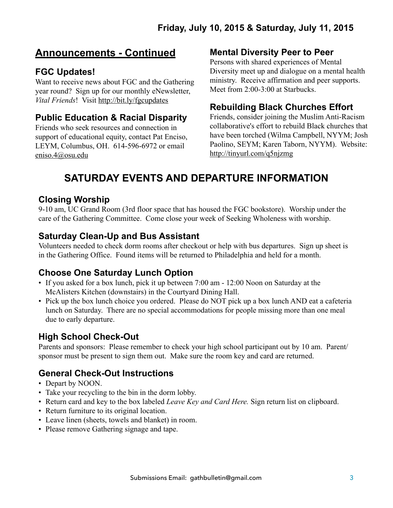### **Announcements - Continued**

#### **FGC Updates!**

Want to receive news about FGC and the Gathering year round? Sign up for our monthly eNewsletter, *Vital Friends*! Visit<http://bit.ly/fgcupdates>

#### **Public Education & Racial Disparity**

Friends who seek resources and connection in support of educational equity, contact Pat Enciso, LEYM, Columbus, OH. 614-596-6972 or email [eniso.4@osu.edu](mailto:eniso.4@osu.edu)

#### **Mental Diversity Peer to Peer**

Persons with shared experiences of Mental Diversity meet up and dialogue on a mental health ministry. Receive affirmation and peer supports. Meet from 2:00-3:00 at Starbucks.

#### **Rebuilding Black Churches Effort**

Friends, consider joining the Muslim Anti-Racism collaborative's effort to rebuild Black churches that have been torched (Wilma Campbell, NYYM; Josh Paolino, SEYM; Karen Taborn, NYYM). Website: <http://tinyurl.com/q5njzmg>

## **SATURDAY EVENTS AND DEPARTURE INFORMATION**

#### **Closing Worship**

9-10 am, UC Grand Room (3rd floor space that has housed the FGC bookstore). Worship under the care of the Gathering Committee. Come close your week of Seeking Wholeness with worship.

#### **Saturday Clean-Up and Bus Assistant**

Volunteers needed to check dorm rooms after checkout or help with bus departures. Sign up sheet is in the Gathering Office. Found items will be returned to Philadelphia and held for a month.

#### **Choose One Saturday Lunch Option**

- If you asked for a box lunch, pick it up between 7:00 am 12:00 Noon on Saturday at the McAlisters Kitchen (downstairs) in the Courtyard Dining Hall.
- Pick up the box lunch choice you ordered. Please do NOT pick up a box lunch AND eat a cafeteria lunch on Saturday. There are no special accommodations for people missing more than one meal due to early departure.

#### **High School Check-Out**

Parents and sponsors: Please remember to check your high school participant out by 10 am. Parent/ sponsor must be present to sign them out. Make sure the room key and card are returned.

#### **General Check-Out Instructions**

- Depart by NOON.
- Take your recycling to the bin in the dorm lobby.
- Return card and key to the box labeled *Leave Key and Card Here.* Sign return list on clipboard.
- Return furniture to its original location.
- Leave linen (sheets, towels and blanket) in room.
- Please remove Gathering signage and tape.